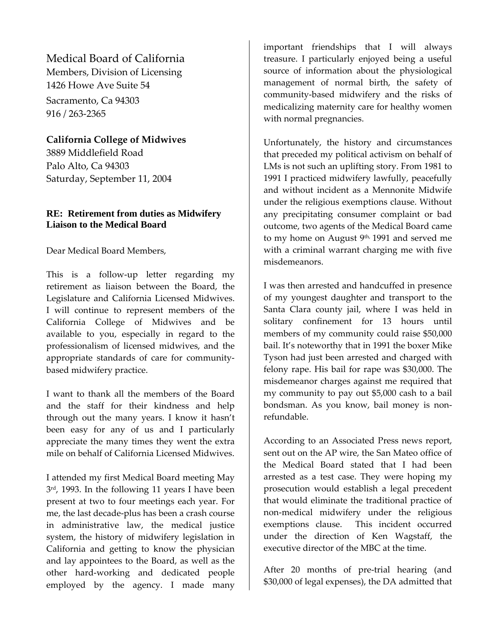Medical Board of California

Members, Division of Licensing 1426 Howe Ave Suite 54 Sacramento, Ca 94303 916 / 263‐2365

# **California College of Midwives**

3889 Middlefield Road Palo Alto, Ca 94303 Saturday, September 11, 2004

# **RE: Retirement from duties as Midwifery Liaison to the Medical Board**

Dear Medical Board Members,

This is a follow-up letter regarding my retirement as liaison between the Board, the Legislature and California Licensed Midwives. I will continue to represent members of the California College of Midwives and be available to you, especially in regard to the professionalism of licensed midwives, and the appropriate standards of care for community‐ based midwifery practice.

I want to thank all the members of the Board and the staff for their kindness and help through out the many years. I know it hasn't been easy for any of us and I particularly appreciate the many times they went the extra mile on behalf of California Licensed Midwives.

I attended my first Medical Board meeting May 3<sup>rd</sup>, 1993. In the following 11 years I have been present at two to four meetings each year. For me, the last decade‐plus has been a crash course in administrative law, the medical justice system, the history of midwifery legislation in California and getting to know the physician and lay appointees to the Board, as well as the other hard‐working and dedicated people employed by the agency. I made many

important friendships that I will always treasure. I particularly enjoyed being a useful source of information about the physiological management of normal birth, the safety of community‐based midwifery and the risks of medicalizing maternity care for healthy women with normal pregnancies.

Unfortunately, the history and circumstances that preceded my political activism on behalf of LMs is not such an uplifting story. From 1981 to 1991 I practiced midwifery lawfully, peacefully and without incident as a Mennonite Midwife under the religious exemptions clause. Without any precipitating consumer complaint or bad outcome, two agents of the Medical Board came to my home on August 9<sup>th,</sup> 1991 and served me with a criminal warrant charging me with five misdemeanors.

I was then arrested and handcuffed in presence of my youngest daughter and transport to the Santa Clara county jail, where I was held in solitary confinement for 13 hours until members of my community could raise \$50,000 bail. It's noteworthy that in 1991 the boxer Mike Tyson had just been arrested and charged with felony rape. His bail for rape was \$30,000. The misdemeanor charges against me required that my community to pay out \$5,000 cash to a bail bondsman. As you know, bail money is non‐ refundable.

According to an Associated Press news report, sent out on the AP wire, the San Mateo office of the Medical Board stated that I had been arrested as a test case. They were hoping my prosecution would establish a legal precedent that would eliminate the traditional practice of non‐medical midwifery under the religious exemptions clause. This incident occurred under the direction of Ken Wagstaff, the executive director of the MBC at the time.

After 20 months of pre-trial hearing (and \$30,000 of legal expenses), the DA admitted that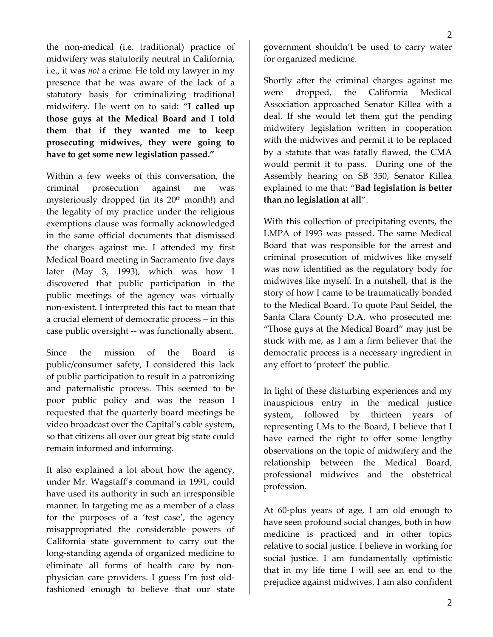the non‐medical (i.e. traditional) practice of midwifery was statutorily neutral in California, i.e., it was *not* a crime. He told my lawyer in my presence that he was aware of the lack of a statutory basis for criminalizing traditional midwifery. He went on to said: **"I called up those guys at the Medical Board and I told them that if they wanted me to keep prosecuting midwives, they were going to have to get some new legislation passed."**

Within a few weeks of this conversation, the criminal prosecution against me was mysteriously dropped (in its  $20<sup>th</sup>$  month!) and the legality of my practice under the religious exemptions clause was formally acknowledged in the same official documents that dismissed the charges against me. I attended my first Medical Board meeting in Sacramento five days later (May 3, 1993), which was how I discovered that public participation in the public meetings of the agency was virtually non‐existent. I interpreted this fact to mean that a crucial element of democratic process – in this case public oversight ‐‐ was functionally absent.

Since the mission of the Board is public/consumer safety, I considered this lack of public participation to result in a patronizing and paternalistic process. This seemed to be poor public policy and was the reason I requested that the quarterly board meetings be video broadcast over the Capital's cable system, so that citizens all over our great big state could remain informed and informing.

It also explained a lot about how the agency, under Mr. Wagstaff's command in 1991, could have used its authority in such an irresponsible manner. In targeting me as a member of a class for the purposes of a 'test case', the agency misappropriated the considerable powers of California state government to carry out the long‐standing agenda of organized medicine to eliminate all forms of health care by non‐ physician care providers. I guess I'm just old‐ fashioned enough to believe that our state

government shouldn't be used to carry water for organized medicine.

Shortly after the criminal charges against me were dropped, the California Medical Association approached Senator Killea with a deal. If she would let them gut the pending midwifery legislation written in cooperation with the midwives and permit it to be replaced by a statute that was fatally flawed, the CMA would permit it to pass. During one of the Assembly hearing on SB 350, Senator Killea explained to me that: "**Bad legislation is better than no legislation at all**".

With this collection of precipitating events, the LMPA of 1993 was passed. The same Medical Board that was responsible for the arrest and criminal prosecution of midwives like myself was now identified as the regulatory body for midwives like myself. In a nutshell, that is the story of how I came to be traumatically bonded to the Medical Board. To quote Paul Seidel, the Santa Clara County D.A. who prosecuted me: "Those guys at the Medical Board" may just be stuck with me, as I am a firm believer that the democratic process is a necessary ingredient in any effort to 'protect' the public.

In light of these disturbing experiences and my inauspicious entry in the medical justice system, followed by thirteen years of representing LMs to the Board, I believe that I have earned the right to offer some lengthy observations on the topic of midwifery and the relationship between the Medical Board, professional midwives and the obstetrical profession.

At 60‐plus years of age, I am old enough to have seen profound social changes, both in how medicine is practiced and in other topics relative to social justice. I believe in working for social justice. I am fundamentally optimistic that in my life time I will see an end to the prejudice against midwives. I am also confident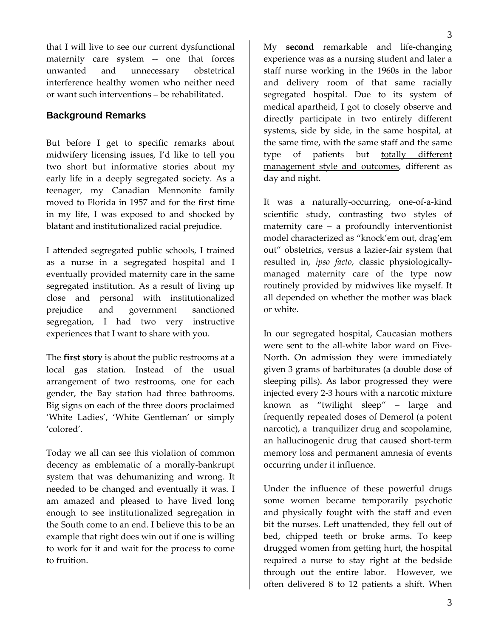that I will live to see our current dysfunctional maternity care system -- one that forces unwanted and unnecessary obstetrical interference healthy women who neither need or want such interventions – be rehabilitated.

## **Background Remarks**

But before I get to specific remarks about midwifery licensing issues, I'd like to tell you two short but informative stories about my early life in a deeply segregated society. As a teenager, my Canadian Mennonite family moved to Florida in 1957 and for the first time in my life, I was exposed to and shocked by blatant and institutionalized racial prejudice.

I attended segregated public schools, I trained as a nurse in a segregated hospital and I eventually provided maternity care in the same segregated institution. As a result of living up close and personal with institutionalized prejudice and government sanctioned segregation, I had two very instructive experiences that I want to share with you.

The **first story** is about the public restrooms at a local gas station. Instead of the usual arrangement of two restrooms, one for each gender, the Bay station had three bathrooms. Big signs on each of the three doors proclaimed 'White Ladies', 'White Gentleman' or simply 'colored'.

Today we all can see this violation of common decency as emblematic of a morally‐bankrupt system that was dehumanizing and wrong. It needed to be changed and eventually it was. I am amazed and pleased to have lived long enough to see institutionalized segregation in the South come to an end. I believe this to be an example that right does win out if one is willing to work for it and wait for the process to come to fruition.

My **second** remarkable and life‐changing experience was as a nursing student and later a staff nurse working in the 1960s in the labor and delivery room of that same racially segregated hospital. Due to its system of medical apartheid, I got to closely observe and directly participate in two entirely different systems, side by side, in the same hospital, at the same time, with the same staff and the same type of patients but totally different management style and outcomes, different as day and night.

It was a naturally‐occurring, one‐of‐a‐kind scientific study, contrasting two styles of maternity care – a profoundly interventionist model characterized as "knock'em out, drag'em out" obstetrics, versus a lazier‐fair system that resulted in, *ipso facto*, classic physiologically‐ managed maternity care of the type now routinely provided by midwives like myself. It all depended on whether the mother was black or white.

In our segregated hospital, Caucasian mothers were sent to the all-white labor ward on Five-North. On admission they were immediately given 3 grams of barbiturates (a double dose of sleeping pills). As labor progressed they were injected every 2‐3 hours with a narcotic mixture known as "twilight sleep" – large and frequently repeated doses of Demerol (a potent narcotic), a tranquilizer drug and scopolamine, an hallucinogenic drug that caused short‐term memory loss and permanent amnesia of events occurring under it influence.

Under the influence of these powerful drugs some women became temporarily psychotic and physically fought with the staff and even bit the nurses. Left unattended, they fell out of bed, chipped teeth or broke arms. To keep drugged women from getting hurt, the hospital required a nurse to stay right at the bedside through out the entire labor. However, we often delivered 8 to 12 patients a shift. When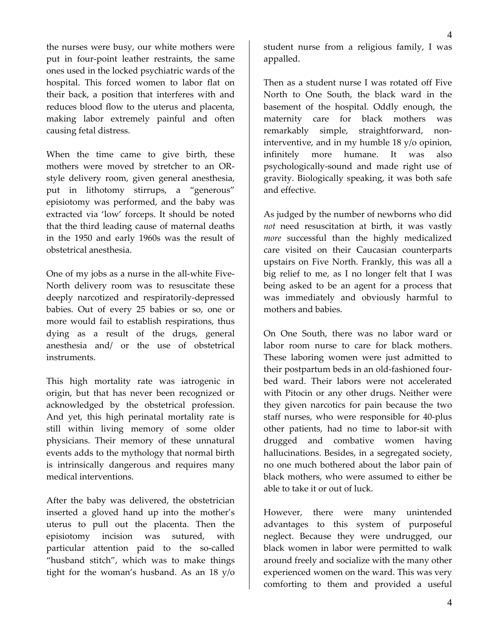the nurses were busy, our white mothers were put in four‐point leather restraints, the same ones used in the locked psychiatric wards of the hospital. This forced women to labor flat on their back, a position that interferes with and reduces blood flow to the uterus and placenta, making labor extremely painful and often causing fetal distress.

When the time came to give birth, these mothers were moved by stretcher to an OR‐ style delivery room, given general anesthesia, put in lithotomy stirrups, a "generous" episiotomy was performed, and the baby was extracted via 'low' forceps. It should be noted that the third leading cause of maternal deaths in the 1950 and early 1960s was the result of obstetrical anesthesia.

One of my jobs as a nurse in the all‐white Five‐ North delivery room was to resuscitate these deeply narcotized and respiratorily‐depressed babies. Out of every 25 babies or so, one or more would fail to establish respirations, thus dying as a result of the drugs, general anesthesia and/ or the use of obstetrical instruments.

This high mortality rate was iatrogenic in origin, but that has never been recognized or acknowledged by the obstetrical profession. And yet, this high perinatal mortality rate is still within living memory of some older physicians. Their memory of these unnatural events adds to the mythology that normal birth is intrinsically dangerous and requires many medical interventions.

After the baby was delivered, the obstetrician inserted a gloved hand up into the mother's uterus to pull out the placenta. Then the episiotomy incision was sutured, with particular attention paid to the so-called "husband stitch", which was to make things tight for the woman's husband. As an 18 y/o

student nurse from a religious family, I was appalled.

Then as a student nurse I was rotated off Five North to One South, the black ward in the basement of the hospital. Oddly enough, the maternity care for black mothers was remarkably simple, straightforward, noninterventive, and in my humble 18 y/o opinion, infinitely more humane. It was also psychologically‐sound and made right use of gravity. Biologically speaking, it was both safe and effective.

As judged by the number of newborns who did *not* need resuscitation at birth, it was vastly *more* successful than the highly medicalized care visited on their Caucasian counterparts upstairs on Five North. Frankly, this was all a big relief to me, as I no longer felt that I was being asked to be an agent for a process that was immediately and obviously harmful to mothers and babies.

On One South, there was no labor ward or labor room nurse to care for black mothers. These laboring women were just admitted to their postpartum beds in an old‐fashioned four‐ bed ward. Their labors were not accelerated with Pitocin or any other drugs. Neither were they given narcotics for pain because the two staff nurses, who were responsible for 40‐plus other patients, had no time to labor‐sit with drugged and combative women having hallucinations. Besides, in a segregated society, no one much bothered about the labor pain of black mothers, who were assumed to either be able to take it or out of luck.

However, there were many unintended advantages to this system of purposeful neglect. Because they were undrugged, our black women in labor were permitted to walk around freely and socialize with the many other experienced women on the ward. This was very comforting to them and provided a useful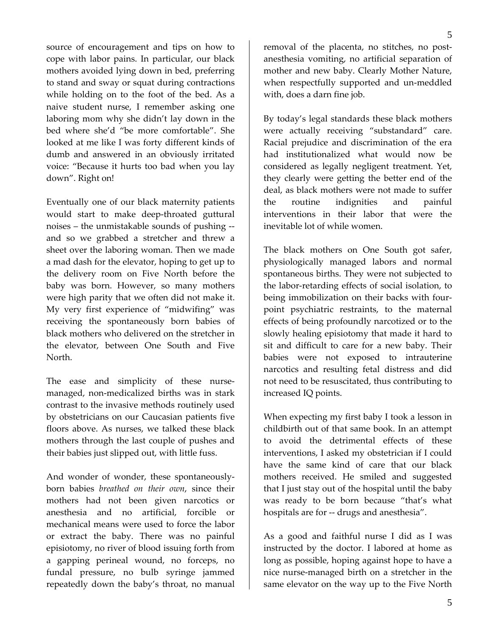source of encouragement and tips on how to cope with labor pains. In particular, our black mothers avoided lying down in bed, preferring to stand and sway or squat during contractions while holding on to the foot of the bed. As a naive student nurse, I remember asking one laboring mom why she didn't lay down in the bed where she'd "be more comfortable". She looked at me like I was forty different kinds of dumb and answered in an obviously irritated voice: "Because it hurts too bad when you lay down". Right on!

Eventually one of our black maternity patients would start to make deep-throated guttural noises – the unmistakable sounds of pushing ‐‐ and so we grabbed a stretcher and threw a sheet over the laboring woman. Then we made a mad dash for the elevator, hoping to get up to the delivery room on Five North before the baby was born. However, so many mothers were high parity that we often did not make it. My very first experience of "midwifing" was receiving the spontaneously born babies of black mothers who delivered on the stretcher in the elevator, between One South and Five North.

The ease and simplicity of these nursemanaged, non‐medicalized births was in stark contrast to the invasive methods routinely used by obstetricians on our Caucasian patients five floors above. As nurses, we talked these black mothers through the last couple of pushes and their babies just slipped out, with little fuss.

And wonder of wonder, these spontaneously‐ born babies *breathed on their own*, since their mothers had not been given narcotics or anesthesia and no artificial, forcible or mechanical means were used to force the labor or extract the baby. There was no painful episiotomy, no river of blood issuing forth from a gapping perineal wound, no forceps, no fundal pressure, no bulb syringe jammed repeatedly down the baby's throat, no manual

removal of the placenta, no stitches, no post‐ anesthesia vomiting, no artificial separation of mother and new baby. Clearly Mother Nature, when respectfully supported and un-meddled with, does a darn fine job.

By today's legal standards these black mothers were actually receiving "substandard" care. Racial prejudice and discrimination of the era had institutionalized what would now be considered as legally negligent treatment. Yet, they clearly were getting the better end of the deal, as black mothers were not made to suffer the routine indignities and painful interventions in their labor that were the inevitable lot of while women.

The black mothers on One South got safer, physiologically managed labors and normal spontaneous births. They were not subjected to the labor‐retarding effects of social isolation, to being immobilization on their backs with four‐ point psychiatric restraints, to the maternal effects of being profoundly narcotized or to the slowly healing episiotomy that made it hard to sit and difficult to care for a new baby. Their babies were not exposed to intrauterine narcotics and resulting fetal distress and did not need to be resuscitated, thus contributing to increased IQ points.

When expecting my first baby I took a lesson in childbirth out of that same book. In an attempt to avoid the detrimental effects of these interventions, I asked my obstetrician if I could have the same kind of care that our black mothers received. He smiled and suggested that I just stay out of the hospital until the baby was ready to be born because "that's what hospitals are for -- drugs and anesthesia".

As a good and faithful nurse I did as I was instructed by the doctor. I labored at home as long as possible, hoping against hope to have a nice nurse‐managed birth on a stretcher in the same elevator on the way up to the Five North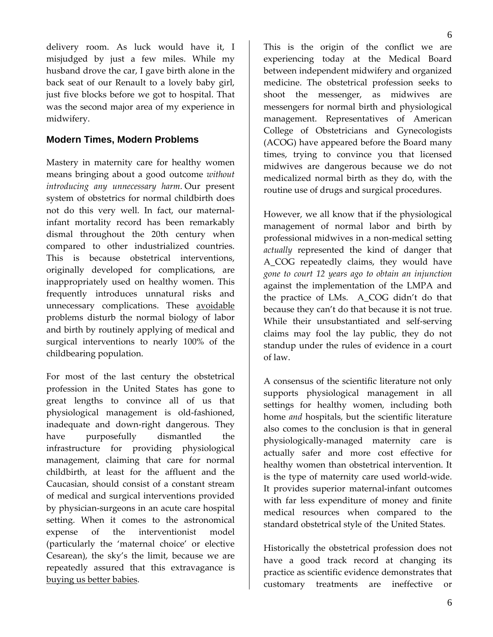delivery room. As luck would have it, I misjudged by just a few miles. While my husband drove the car, I gave birth alone in the back seat of our Renault to a lovely baby girl, just five blocks before we got to hospital. That was the second major area of my experience in midwifery.

### **Modern Times, Modern Problems**

Mastery in maternity care for healthy women means bringing about a good outcome *without introducing any unnecessary harm*. Our present system of obstetrics for normal childbirth does not do this very well. In fact, our maternal‐ infant mortality record has been remarkably dismal throughout the 20th century when compared to other industrialized countries. This is because obstetrical interventions, originally developed for complications, are inappropriately used on healthy women. This frequently introduces unnatural risks and unnecessary complications. These avoidable problems disturb the normal biology of labor and birth by routinely applying of medical and surgical interventions to nearly 100% of the childbearing population.

For most of the last century the obstetrical profession in the United States has gone to great lengths to convince all of us that physiological management is old‐fashioned, inadequate and down‐right dangerous. They have purposefully dismantled the infrastructure for providing physiological management, claiming that care for normal childbirth, at least for the affluent and the Caucasian, should consist of a constant stream of medical and surgical interventions provided by physician‐surgeons in an acute care hospital setting. When it comes to the astronomical expense of the interventionist model (particularly the 'maternal choice' or elective Cesarean), the sky's the limit, because we are repeatedly assured that this extravagance is buying us better babies.

This is the origin of the conflict we are experiencing today at the Medical Board between independent midwifery and organized medicine. The obstetrical profession seeks to shoot the messenger, as midwives are messengers for normal birth and physiological management. Representatives of American College of Obstetricians and Gynecologists (ACOG) have appeared before the Board many times, trying to convince you that licensed midwives are dangerous because we do not medicalized normal birth as they do, with the routine use of drugs and surgical procedures.

6

However, we all know that if the physiological management of normal labor and birth by professional midwives in a non‐medical setting *actually* represented the kind of danger that A\_COG repeatedly claims, they would have *gone to court 12 years ago to obtain an injunction* against the implementation of the LMPA and the practice of LMs. A\_COG didn't do that because they can't do that because it is not true. While their unsubstantiated and self‐serving claims may fool the lay public, they do not standup under the rules of evidence in a court of law.

A consensus of the scientific literature not only supports physiological management in all settings for healthy women, including both home *and* hospitals, but the scientific literature also comes to the conclusion is that in general physiologically‐managed maternity care is actually safer and more cost effective for healthy women than obstetrical intervention. It is the type of maternity care used world‐wide. It provides superior maternal‐infant outcomes with far less expenditure of money and finite medical resources when compared to the standard obstetrical style of the United States.

Historically the obstetrical profession does not have a good track record at changing its practice as scientific evidence demonstrates that customary treatments are ineffective or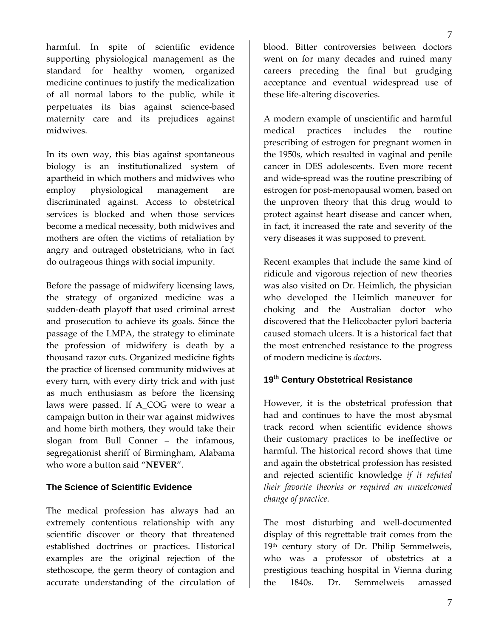harmful. In spite of scientific evidence

supporting physiological management as the standard for healthy women, organized medicine continues to justify the medicalization of all normal labors to the public, while it perpetuates its bias against science‐based maternity care and its prejudices against midwives.

In its own way, this bias against spontaneous biology is an institutionalized system of apartheid in which mothers and midwives who employ physiological management are discriminated against. Access to obstetrical services is blocked and when those services become a medical necessity, both midwives and mothers are often the victims of retaliation by angry and outraged obstetricians, who in fact do outrageous things with social impunity.

Before the passage of midwifery licensing laws, the strategy of organized medicine was a sudden‐death playoff that used criminal arrest and prosecution to achieve its goals. Since the passage of the LMPA, the strategy to eliminate the profession of midwifery is death by a thousand razor cuts. Organized medicine fights the practice of licensed community midwives at every turn, with every dirty trick and with just as much enthusiasm as before the licensing laws were passed. If A\_COG were to wear a campaign button in their war against midwives and home birth mothers, they would take their slogan from Bull Conner – the infamous, segregationist sheriff of Birmingham, Alabama who wore a button said "**NEVER**".

### **The Science of Scientific Evidence**

The medical profession has always had an extremely contentious relationship with any scientific discover or theory that threatened established doctrines or practices. Historical examples are the original rejection of the stethoscope, the germ theory of contagion and accurate understanding of the circulation of blood. Bitter controversies between doctors went on for many decades and ruined many careers preceding the final but grudging acceptance and eventual widespread use of these life‐altering discoveries.

A modern example of unscientific and harmful medical practices includes the routine prescribing of estrogen for pregnant women in the 1950s, which resulted in vaginal and penile cancer in DES adolescents. Even more recent and wide‐spread was the routine prescribing of estrogen for post‐menopausal women, based on the unproven theory that this drug would to protect against heart disease and cancer when, in fact, it increased the rate and severity of the very diseases it was supposed to prevent.

Recent examples that include the same kind of ridicule and vigorous rejection of new theories was also visited on Dr. Heimlich, the physician who developed the Heimlich maneuver for choking and the Australian doctor who discovered that the Helicobacter pylori bacteria caused stomach ulcers. It is a historical fact that the most entrenched resistance to the progress of modern medicine is *doctors*.

# **19th Century Obstetrical Resistance**

However, it is the obstetrical profession that had and continues to have the most abysmal track record when scientific evidence shows their customary practices to be ineffective or harmful. The historical record shows that time and again the obstetrical profession has resisted and rejected scientific knowledge *if it refuted their favorite theories or required an unwelcomed change of practice*.

The most disturbing and well-documented display of this regrettable trait comes from the 19th century story of Dr. Philip Semmelweis, who was a professor of obstetrics at a prestigious teaching hospital in Vienna during the 1840s. Dr. Semmelweis amassed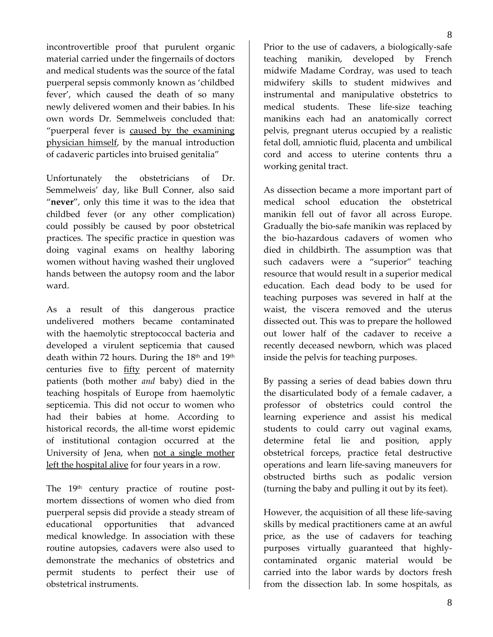incontrovertible proof that purulent organic material carried under the fingernails of doctors and medical students was the source of the fatal puerperal sepsis commonly known as 'childbed fever', which caused the death of so many newly delivered women and their babies. In his own words Dr. Semmelweis concluded that: "puerperal fever is caused by the examining physician himself, by the manual introduction of cadaveric particles into bruised genitalia"

Unfortunately the obstetricians of Dr. Semmelweis' day, like Bull Conner, also said "**never**", only this time it was to the idea that childbed fever (or any other complication) could possibly be caused by poor obstetrical practices. The specific practice in question was doing vaginal exams on healthy laboring women without having washed their ungloved hands between the autopsy room and the labor ward.

As a result of this dangerous practice undelivered mothers became contaminated with the haemolytic streptococcal bacteria and developed a virulent septicemia that caused death within 72 hours. During the  $18<sup>th</sup>$  and  $19<sup>th</sup>$ centuries five to **fifty** percent of maternity patients (both mother *and* baby) died in the teaching hospitals of Europe from haemolytic septicemia. This did not occur to women who had their babies at home. According to historical records, the all-time worst epidemic of institutional contagion occurred at the University of Jena, when not a single mother left the hospital alive for four years in a row.

The 19<sup>th</sup> century practice of routine postmortem dissections of women who died from puerperal sepsis did provide a steady stream of educational opportunities that advanced medical knowledge. In association with these routine autopsies, cadavers were also used to demonstrate the mechanics of obstetrics and permit students to perfect their use of obstetrical instruments.

8

Prior to the use of cadavers, a biologically‐safe teaching manikin, developed by French midwife Madame Cordray, was used to teach midwifery skills to student midwives and instrumental and manipulative obstetrics to medical students. These life-size teaching manikins each had an anatomically correct pelvis, pregnant uterus occupied by a realistic fetal doll, amniotic fluid, placenta and umbilical cord and access to uterine contents thru a working genital tract.

As dissection became a more important part of medical school education the obstetrical manikin fell out of favor all across Europe. Gradually the bio‐safe manikin was replaced by the bio‐hazardous cadavers of women who died in childbirth. The assumption was that such cadavers were a "superior" teaching resource that would result in a superior medical education. Each dead body to be used for teaching purposes was severed in half at the waist, the viscera removed and the uterus dissected out. This was to prepare the hollowed out lower half of the cadaver to receive a recently deceased newborn, which was placed inside the pelvis for teaching purposes.

By passing a series of dead babies down thru the disarticulated body of a female cadaver, a professor of obstetrics could control the learning experience and assist his medical students to could carry out vaginal exams, determine fetal lie and position, apply obstetrical forceps, practice fetal destructive operations and learn life‐saving maneuvers for obstructed births such as podalic version (turning the baby and pulling it out by its feet).

However, the acquisition of all these life-saving skills by medical practitioners came at an awful price, as the use of cadavers for teaching purposes virtually guaranteed that highly‐ contaminated organic material would be carried into the labor wards by doctors fresh from the dissection lab. In some hospitals, as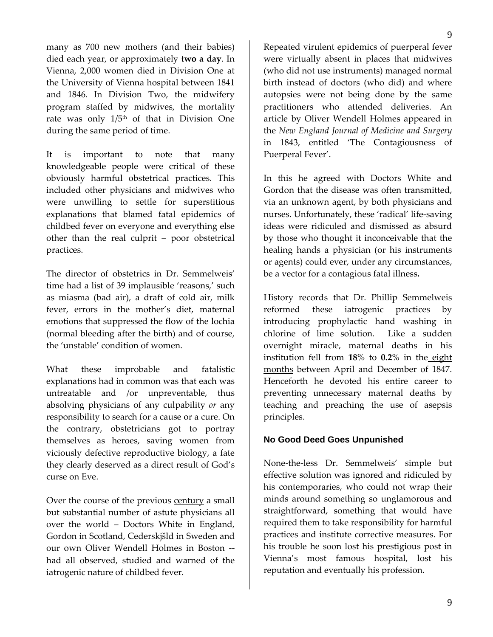many as 700 new mothers (and their babies) died each year, or approximately **two a day**. In Vienna, 2,000 women died in Division One at the University of Vienna hospital between 1841 and 1846. In Division Two, the midwifery program staffed by midwives, the mortality rate was only  $1/5<sup>th</sup>$  of that in Division One

It is important to note that many knowledgeable people were critical of these obviously harmful obstetrical practices. This included other physicians and midwives who were unwilling to settle for superstitious explanations that blamed fatal epidemics of childbed fever on everyone and everything else other than the real culprit – poor obstetrical practices.

during the same period of time.

The director of obstetrics in Dr. Semmelweis' time had a list of 39 implausible 'reasons,' such as miasma (bad air), a draft of cold air, milk fever, errors in the mother's diet, maternal emotions that suppressed the flow of the lochia (normal bleeding after the birth) and of course, the 'unstable' condition of women.

What these improbable and fatalistic explanations had in common was that each was untreatable and /or unpreventable, thus absolving physicians of any culpability *or* any responsibility to search for a cause or a cure. On the contrary, obstetricians got to portray themselves as heroes, saving women from viciously defective reproductive biology, a fate they clearly deserved as a direct result of God's curse on Eve.

Over the course of the previous century a small but substantial number of astute physicians all over the world – Doctors White in England, Gordon in Scotland, Cederskjšld in Sweden and our own Oliver Wendell Holmes in Boston ‐‐ had all observed, studied and warned of the iatrogenic nature of childbed fever.

Repeated virulent epidemics of puerperal fever were virtually absent in places that midwives (who did not use instruments) managed normal birth instead of doctors (who did) and where autopsies were not being done by the same practitioners who attended deliveries. An article by Oliver Wendell Holmes appeared in the *New England Journal of Medicine and Surgery* in 1843, entitled 'The Contagiousness of Puerperal Fever'.

In this he agreed with Doctors White and Gordon that the disease was often transmitted, via an unknown agent, by both physicians and nurses. Unfortunately, these 'radical' life‐saving ideas were ridiculed and dismissed as absurd by those who thought it inconceivable that the healing hands a physician (or his instruments or agents) could ever, under any circumstances, be a vector for a contagious fatal illness**.**

History records that Dr. Phillip Semmelweis reformed these iatrogenic practices by introducing prophylactic hand washing in chlorine of lime solution. Like a sudden overnight miracle, maternal deaths in his institution fell from **18**% to **0.2**% in the eight months between April and December of 1847. Henceforth he devoted his entire career to preventing unnecessary maternal deaths by teaching and preaching the use of asepsis principles.

### **No Good Deed Goes Unpunished**

None‐the‐less Dr. Semmelweis' simple but effective solution was ignored and ridiculed by his contemporaries, who could not wrap their minds around something so unglamorous and straightforward, something that would have required them to take responsibility for harmful practices and institute corrective measures. For his trouble he soon lost his prestigious post in Vienna's most famous hospital, lost his reputation and eventually his profession.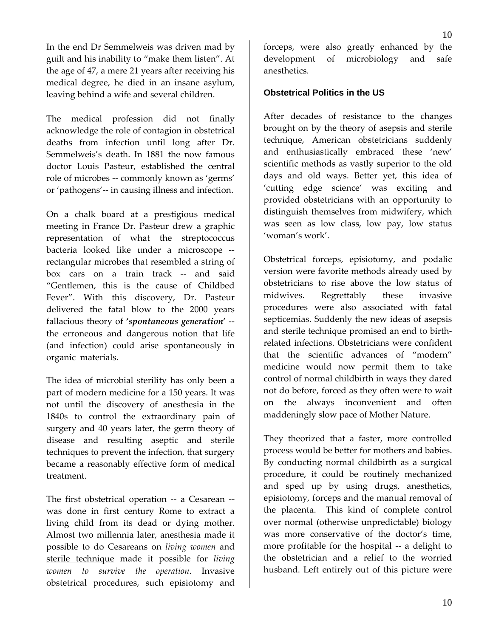In the end Dr Semmelweis was driven mad by guilt and his inability to "make them listen". At the age of 47, a mere 21 years after receiving his medical degree, he died in an insane asylum, leaving behind a wife and several children.

The medical profession did not finally acknowledge the role of contagion in obstetrical deaths from infection until long after Dr. Semmelweis's death. In 1881 the now famous doctor Louis Pasteur, established the central role of microbes ‐‐ commonly known as 'germs' or 'pathogens'‐‐ in causing illness and infection.

On a chalk board at a prestigious medical meeting in France Dr. Pasteur drew a graphic representation of what the streptococcus bacteria looked like under a microscope ‐‐ rectangular microbes that resembled a string of box cars on a train track ‐‐ and said "Gentlemen, this is the cause of Childbed Fever". With this discovery, Dr. Pasteur delivered the fatal blow to the 2000 years fallacious theory of **'***spontaneous generation***'** ‐‐ the erroneous and dangerous notion that life (and infection) could arise spontaneously in organic materials.

The idea of microbial sterility has only been a part of modern medicine for a 150 years. It was not until the discovery of anesthesia in the 1840s to control the extraordinary pain of surgery and 40 years later, the germ theory of disease and resulting aseptic and sterile techniques to prevent the infection, that surgery became a reasonably effective form of medical treatment.

The first obstetrical operation -- a Cesarean -was done in first century Rome to extract a living child from its dead or dying mother. Almost two millennia later, anesthesia made it possible to do Cesareans on *living women* and sterile technique made it possible for *living women to survive the operation*. Invasive obstetrical procedures, such episiotomy and

forceps, were also greatly enhanced by the development of microbiology and safe anesthetics.

10

#### **Obstetrical Politics in the US**

After decades of resistance to the changes brought on by the theory of asepsis and sterile technique, American obstetricians suddenly and enthusiastically embraced these 'new' scientific methods as vastly superior to the old days and old ways. Better yet, this idea of 'cutting edge science' was exciting and provided obstetricians with an opportunity to distinguish themselves from midwifery, which was seen as low class, low pay, low status 'woman's work'.

Obstetrical forceps, episiotomy, and podalic version were favorite methods already used by obstetricians to rise above the low status of midwives. Regrettably these invasive procedures were also associated with fatal septicemias. Suddenly the new ideas of asepsis and sterile technique promised an end to birth‐ related infections. Obstetricians were confident that the scientific advances of "modern" medicine would now permit them to take control of normal childbirth in ways they dared not do before, forced as they often were to wait on the always inconvenient and often maddeningly slow pace of Mother Nature.

They theorized that a faster, more controlled process would be better for mothers and babies. By conducting normal childbirth as a surgical procedure, it could be routinely mechanized and sped up by using drugs, anesthetics, episiotomy, forceps and the manual removal of the placenta. This kind of complete control over normal (otherwise unpredictable) biology was more conservative of the doctor's time, more profitable for the hospital -- a delight to the obstetrician and a relief to the worried husband. Left entirely out of this picture were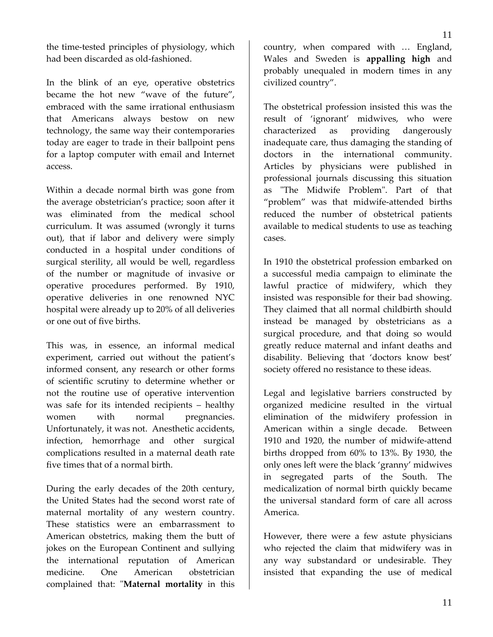the time‐tested principles of physiology, which had been discarded as old‐fashioned.

In the blink of an eye, operative obstetrics became the hot new "wave of the future", embraced with the same irrational enthusiasm that Americans always bestow on new technology, the same way their contemporaries today are eager to trade in their ballpoint pens for a laptop computer with email and Internet access.

Within a decade normal birth was gone from the average obstetrician's practice; soon after it was eliminated from the medical school curriculum. It was assumed (wrongly it turns out), that if labor and delivery were simply conducted in a hospital under conditions of surgical sterility, all would be well, regardless of the number or magnitude of invasive or operative procedures performed. By 1910, operative deliveries in one renowned NYC hospital were already up to 20% of all deliveries or one out of five births.

This was, in essence, an informal medical experiment, carried out without the patient's informed consent, any research or other forms of scientific scrutiny to determine whether or not the routine use of operative intervention was safe for its intended recipients – healthy women with normal pregnancies. Unfortunately, it was not. Anesthetic accidents, infection, hemorrhage and other surgical complications resulted in a maternal death rate five times that of a normal birth.

During the early decades of the 20th century, the United States had the second worst rate of maternal mortality of any western country. These statistics were an embarrassment to American obstetrics, making them the butt of jokes on the European Continent and sullying the international reputation of American medicine. One American obstetrician complained that: "Maternal mortality in this

country, when compared with … England, Wales and Sweden is **appalling high** and probably unequaled in modern times in any civilized country".

The obstetrical profession insisted this was the result of 'ignorant' midwives, who were characterized as providing dangerously inadequate care, thus damaging the standing of doctors in the international community. Articles by physicians were published in professional journals discussing this situation as "The Midwife Problem". Part of that "problem" was that midwife‐attended births reduced the number of obstetrical patients available to medical students to use as teaching cases.

In 1910 the obstetrical profession embarked on a successful media campaign to eliminate the lawful practice of midwifery, which they insisted was responsible for their bad showing. They claimed that all normal childbirth should instead be managed by obstetricians as a surgical procedure, and that doing so would greatly reduce maternal and infant deaths and disability. Believing that 'doctors know best' society offered no resistance to these ideas.

Legal and legislative barriers constructed by organized medicine resulted in the virtual elimination of the midwifery profession in American within a single decade. Between 1910 and 1920, the number of midwife-attend births dropped from 60% to 13%. By 1930, the only ones left were the black 'granny' midwives in segregated parts of the South. The medicalization of normal birth quickly became the universal standard form of care all across America.

However, there were a few astute physicians who rejected the claim that midwifery was in any way substandard or undesirable. They insisted that expanding the use of medical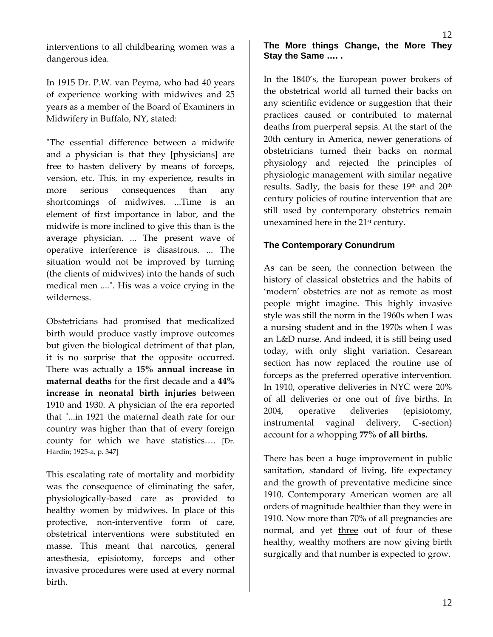interventions to all childbearing women was a dangerous idea.

In 1915 Dr. P.W. van Peyma, who had 40 years of experience working with midwives and 25 years as a member of the Board of Examiners in Midwifery in Buffalo, NY, stated:

ʺThe essential difference between a midwife and a physician is that they [physicians] are free to hasten delivery by means of forceps, version, etc. This, in my experience, results in more serious consequences than any shortcomings of midwives. ...Time is an element of first importance in labor, and the midwife is more inclined to give this than is the average physician. ... The present wave of operative interference is disastrous. ... The situation would not be improved by turning (the clients of midwives) into the hands of such medical men ....". His was a voice crying in the wilderness.

Obstetricians had promised that medicalized birth would produce vastly improve outcomes but given the biological detriment of that plan, it is no surprise that the opposite occurred. There was actually a **15% annual increase in maternal deaths** for the first decade and a **44% increase in neonatal birth injuries** between 1910 and 1930. A physician of the era reported that "...in 1921 the maternal death rate for our country was higher than that of every foreign county for which we have statistics…. [Dr. Hardin; 1925‐a, p. 347]

This escalating rate of mortality and morbidity was the consequence of eliminating the safer, physiologically‐based care as provided to healthy women by midwives. In place of this protective, non‐interventive form of care, obstetrical interventions were substituted en masse. This meant that narcotics, general anesthesia, episiotomy, forceps and other invasive procedures were used at every normal birth.

## **The More things Change, the More They Stay the Same …. .**

In the 1840's, the European power brokers of the obstetrical world all turned their backs on any scientific evidence or suggestion that their practices caused or contributed to maternal deaths from puerperal sepsis. At the start of the 20th century in America, newer generations of obstetricians turned their backs on normal physiology and rejected the principles of physiologic management with similar negative results. Sadly, the basis for these 19th and 20th century policies of routine intervention that are still used by contemporary obstetrics remain unexamined here in the 21<sup>st</sup> century.

#### **The Contemporary Conundrum**

As can be seen, the connection between the history of classical obstetrics and the habits of 'modern' obstetrics are not as remote as most people might imagine. This highly invasive style was still the norm in the 1960s when I was a nursing student and in the 1970s when I was an L&D nurse. And indeed, it is still being used today, with only slight variation. Cesarean section has now replaced the routine use of forceps as the preferred operative intervention. In 1910, operative deliveries in NYC were 20% of all deliveries or one out of five births. In 2004, operative deliveries (episiotomy, instrumental vaginal delivery, C-section) account for a whopping **77% of all births.** 

There has been a huge improvement in public sanitation, standard of living, life expectancy and the growth of preventative medicine since 1910. Contemporary American women are all orders of magnitude healthier than they were in 1910. Now more than 70% of all pregnancies are normal, and yet three out of four of these healthy, wealthy mothers are now giving birth surgically and that number is expected to grow.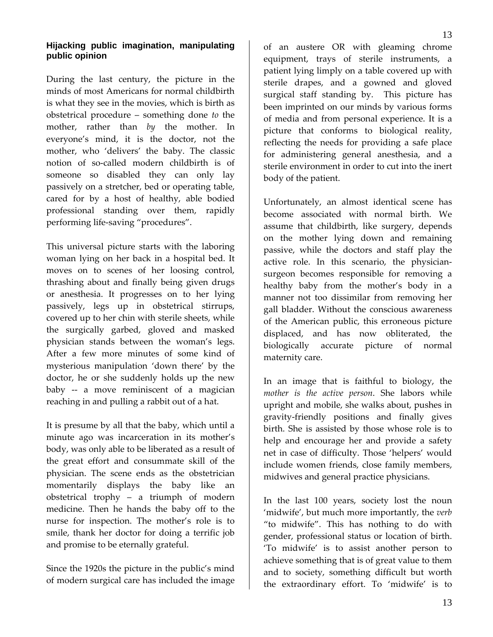During the last century, the picture in the minds of most Americans for normal childbirth is what they see in the movies, which is birth as obstetrical procedure – something done *to* the mother, rather than *by* the mother. In everyone's mind, it is the doctor, not the mother, who 'delivers' the baby. The classic notion of so‐called modern childbirth is of someone so disabled they can only lay passively on a stretcher, bed or operating table, cared for by a host of healthy, able bodied professional standing over them, rapidly performing life‐saving "procedures".

This universal picture starts with the laboring woman lying on her back in a hospital bed. It moves on to scenes of her loosing control, thrashing about and finally being given drugs or anesthesia. It progresses on to her lying passively, legs up in obstetrical stirrups, covered up to her chin with sterile sheets, while the surgically garbed, gloved and masked physician stands between the woman's legs. After a few more minutes of some kind of mysterious manipulation 'down there' by the doctor, he or she suddenly holds up the new baby -- a move reminiscent of a magician reaching in and pulling a rabbit out of a hat.

It is presume by all that the baby, which until a minute ago was incarceration in its mother's body, was only able to be liberated as a result of the great effort and consummate skill of the physician. The scene ends as the obstetrician momentarily displays the baby like an obstetrical trophy – a triumph of modern medicine. Then he hands the baby off to the nurse for inspection. The mother's role is to smile, thank her doctor for doing a terrific job and promise to be eternally grateful.

Since the 1920s the picture in the public's mind of modern surgical care has included the image of an austere OR with gleaming chrome equipment, trays of sterile instruments, a patient lying limply on a table covered up with sterile drapes, and a gowned and gloved surgical staff standing by. This picture has

been imprinted on our minds by various forms of media and from personal experience. It is a picture that conforms to biological reality, reflecting the needs for providing a safe place for administering general anesthesia, and a sterile environment in order to cut into the inert body of the patient.

Unfortunately, an almost identical scene has become associated with normal birth. We assume that childbirth, like surgery, depends on the mother lying down and remaining passive, while the doctors and staff play the active role. In this scenario, the physician‐ surgeon becomes responsible for removing a healthy baby from the mother's body in a manner not too dissimilar from removing her gall bladder. Without the conscious awareness of the American public, this erroneous picture displaced, and has now obliterated, the biologically accurate picture of normal maternity care.

In an image that is faithful to biology, the *mother is the active person*. She labors while upright and mobile, she walks about, pushes in gravity‐friendly positions and finally gives birth. She is assisted by those whose role is to help and encourage her and provide a safety net in case of difficulty. Those 'helpers' would include women friends, close family members, midwives and general practice physicians.

In the last 100 years, society lost the noun 'midwife', but much more importantly, the *verb* "to midwife". This has nothing to do with gender, professional status or location of birth. 'To midwife' is to assist another person to achieve something that is of great value to them and to society, something difficult but worth the extraordinary effort. To 'midwife' is to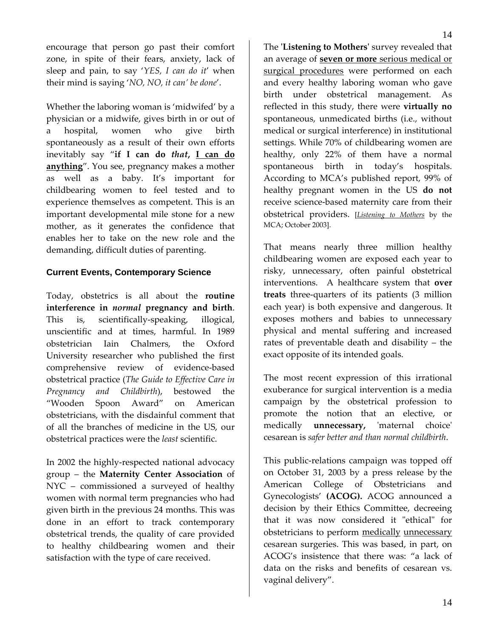encourage that person go past their comfort zone, in spite of their fears, anxiety, lack of sleep and pain, to say '*YES, I can do it*' when their mind is saying '*NO, NO, it can' be done*'.

Whether the laboring woman is 'midwifed' by a physician or a midwife, gives birth in or out of a hospital, women who give birth spontaneously as a result of their own efforts inevitably say "**if I can do** *that***, I can do anything**". You see, pregnancy makes a mother as well as a baby. It's important for childbearing women to feel tested and to experience themselves as competent. This is an important developmental mile stone for a new mother, as it generates the confidence that enables her to take on the new role and the demanding, difficult duties of parenting.

#### **Current Events, Contemporary Science**

Today, obstetrics is all about the **routine interference in** *normal* **pregnancy and birth**. This is, scientifically‐speaking, illogical, unscientific and at times, harmful. In 1989 obstetrician Iain Chalmers, the Oxford University researcher who published the first comprehensive review of evidence‐based obstetrical practice (*The Guide to Effective Care in Pregnancy and Childbirth*), bestowed the "Wooden Spoon Award" on American obstetricians, with the disdainful comment that of all the branches of medicine in the US, our obstetrical practices were the *least* scientific.

In 2002 the highly‐respected national advocacy group – the **Maternity Center Association** of NYC – commissioned a surveyed of healthy women with normal term pregnancies who had given birth in the previous 24 months. This was done in an effort to track contemporary obstetrical trends, the quality of care provided to healthy childbearing women and their satisfaction with the type of care received.

The **ʹListening to Mothersʹ** survey revealed that an average of **seven or more** serious medical or surgical procedures were performed on each and every healthy laboring woman who gave birth under obstetrical management. As reflected in this study, there were **virtually no** spontaneous, unmedicated births (i.e., without medical or surgical interference) in institutional settings. While 70% of childbearing women are healthy, only 22% of them have a normal

That means nearly three million healthy childbearing women are exposed each year to risky, unnecessary, often painful obstetrical interventions. A healthcare system that **over treats** three‐quarters of its patients (3 million each year) is both expensive and dangerous. It exposes mothers and babies to unnecessary physical and mental suffering and increased rates of preventable death and disability – the exact opposite of its intended goals.

spontaneous birth in today's hospitals. According to MCA's published report, 99% of healthy pregnant women in the US **do not** receive science‐based maternity care from their obstetrical providers. [*[Listening](http://www.maternitywise.org/listeningtomothers/index.html) to Mothers* by the

MCA; October 2003].

The most recent expression of this [irrational](http://www.sciencebasedbirth.com/Citations or text 02/ChoosingCS WWagner The Lancet 2000.htm) exuberance for surgical [intervention](http://www.sciencebasedbirth.com/Citations or text 02/ChoosingCS WWagner The Lancet 2000.htm) is a [media](http://www.sciencebasedbirth.com/Citations or text 02/gma transcript00a.htm) [campaign](http://www.sciencebasedbirth.com/Citations or text 02/gma transcript00a.htm) by the obstetrical profession to promote the notion that an elective, or medically **unnecessary**, 'maternal choice' cesarean is *safer better and than normal childbirth*.

This public-relations campaign was topped off on October 31, 2003 by a press release by the American College of Obstetricians and Gynecologists' **(ACOG).** ACOG announced a decision by their Ethics Committee, decreeing that it was now considered it "ethical" for obstetricians to perform medically unnecessary cesarean surgeries. This was based, in part, on ACOG's insistence that there was: "a lack of data on the risks and benefits of cesarean vs. vaginal delivery".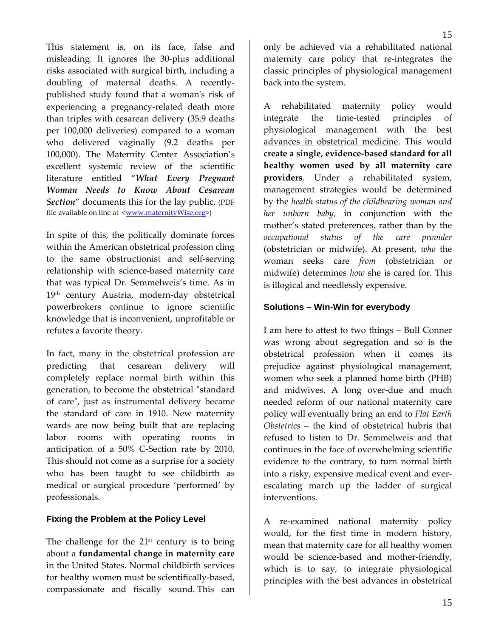This statement is, on its face, false and misleading. It ignores the 30‐plus additional risks associated with surgical birth, including a doubling of maternal deaths. A recently‐ published study found that a womanʹs risk of experiencing a pregnancy-related death more than triples with cesarean delivery (35.9 deaths per 100,000 deliveries) compared to a woman who delivered vaginally (9.2 deaths per 100,000). The Maternity Center Association's excellent systemic review of the scientific literature entitled "*What Every Pregnant Woman Needs to Know About Cesarean Section*" documents this for the lay public. (PDF file available on line at  $\langle$ www.maternityWise.org>)

In spite of this, the politically dominate forces within the American obstetrical profession cling to the same obstructionist and self‐serving relationship with science‐based maternity care that was typical Dr. Semmelweis's time. As in 19th century Austria, modern‐day obstetrical powerbrokers continue to ignore scientific knowledge that is inconvenient, unprofitable or refutes a favorite theory.

In fact, many in the obstetrical profession are predicting that cesarean delivery will completely replace normal birth within this generation, to become the obstetrical "standard" of careʺ, just as instrumental delivery became the standard of care in 1910. New maternity wards are now being built that are replacing labor rooms with operating rooms in anticipation of a 50% C‐Section rate by 2010. This should not come as a surprise for a society who has been taught to see childbirth as medical or surgical procedure 'performed' by professionals.

#### **Fixing the Problem at the Policy Level**

The challenge for the  $21<sup>st</sup>$  century is to bring about a **fundamental change in maternity care** in the United States. Normal childbirth services for healthy women must be scientifically‐based, compassionate and fiscally sound. This can

only be achieved via a rehabilitated national maternity care policy that re-integrates the classic principles of physiological management back into the system.

15

A rehabilitated maternity policy would integrate the time‐tested principles of physiological management with the best advances in obstetrical medicine. This would **create a single, evidence‐based standard for all healthy women used by all maternity care providers**. Under a rehabilitated system, management strategies would be determined by the *health status of the childbearing woman and her unborn baby,* in conjunction with the mother's stated preferences, rather than by the *occupational status of the care provider* (obstetrician or midwife). At present, *who* the woman seeks care *from* (obstetrician or midwife) determines *how* she is cared for. This is illogical and needlessly expensive.

#### **Solutions – Win-Win for everybody**

I am here to attest to two things – Bull Conner was wrong about segregation and so is the obstetrical profession when it comes its prejudice against physiological management, women who seek a planned home birth (PHB) and midwives. A long over-due and much needed reform of our national maternity care policy will eventually bring an end to *Flat Earth Obstetrics* – the kind of obstetrical hubris that refused to listen to Dr. Semmelweis and that continues in the face of overwhelming scientific evidence to the contrary, to turn normal birth into a risky, expensive medical event and ever‐ escalating march up the ladder of surgical interventions.

A re‐examined national maternity policy would, for the first time in modern history, mean that maternity care for all healthy women would be science-based and mother-friendly, which is to say, to integrate physiological principles with the best advances in obstetrical